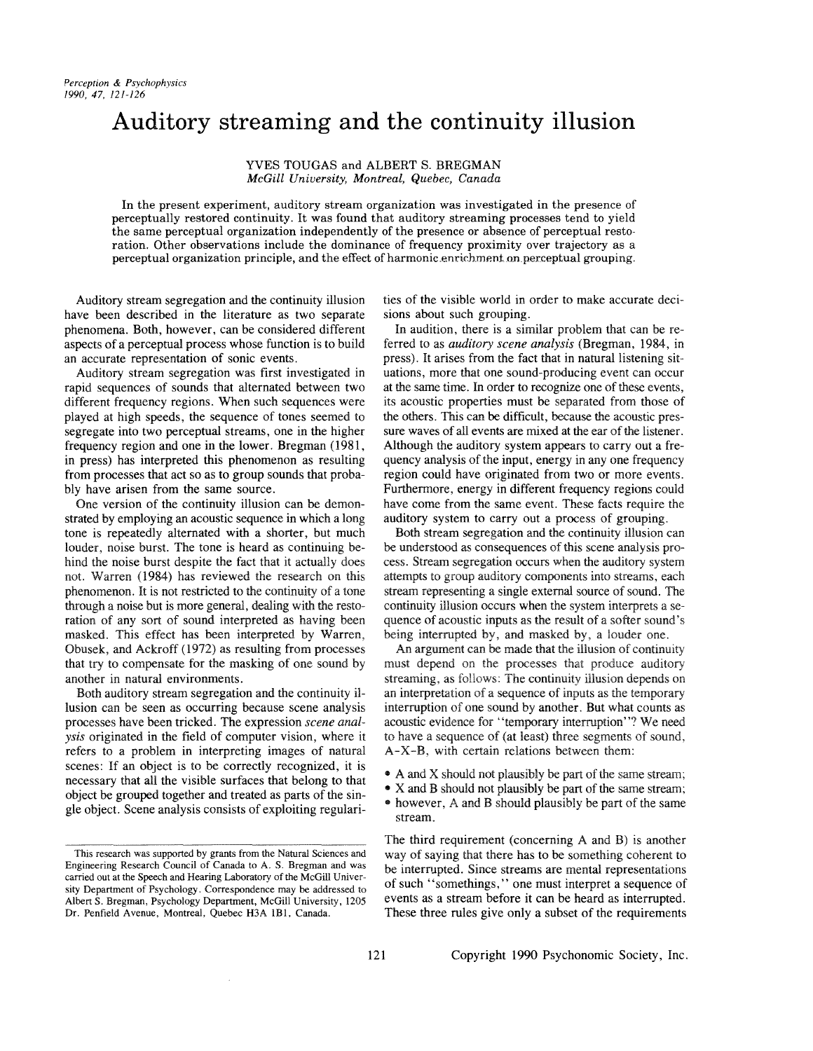# **Auditory streaming and the continuity illusion**

## YVES TOUGAS and ALBERT S. BREGMAN *McGill University, Montreal, Quebec, Canada*

In the present experiment, auditory stream organization was investigated in the presence of perceptually restored continuity. It was found that auditory streaming processes tend to yield the same perceptual organization independently of the presence or absence of perceptual resto- ration. Other observations include the dominance of frequency proximity over trajectory as <sup>a</sup> perceptual organization principle, and the effect of harmonic enrichment on perceptual grouping.

Auditory stream segregation and the continuity illusion have been described in the literature as two separate phenomena. Both, however, can be considered different aspects of a perceptual process whose function is to build an accurate representation of sonic events.

Auditory stream segregation was first investigated in rapid sequences of sounds that alternated between two different frequency regions. When such sequences were played at high speeds, the sequence of tones seemed to segregate into two perceptual streams, one in the higher frequency region and one in the lower. Bregman (1981, in press) has interpreted this phenomenon as resulting from processes that act so as to group sounds that probably have arisen from the same source.

One version of the continuity illusion can be demonstrated by employing an acoustic sequence in which a long tone is repeatedly alternated with a shorter, but much louder, noise burst. The tone is heard as continuing behind the noise burst despite the fact that it actually does not. Warren (1984) has reviewed the research on this phenomenon. It is not restricted to the continuity of a tone through a noise but is more general, dealing with the restoration of any sort of sound interpreted as having been masked. This effect has been interpreted by Warren, Obusek, and Ackroff(1972) as resulting from processes that try to compensate for the masking of one sound by another in natural environments.

Both auditory stream segregation and the continuity illusion can be seen as occurring because scene analysis processes have been tricked. The expression *scene analysis* originated in the field of computer vision, where it refers to a problem in interpreting images of natural scenes: If an object is to be correctly recognized, it is necessary that all the visible surfaces that belong to that object be grouped together and treated as parts of the single object. Scene analysis consists of exploiting regularities of the visible world in order to make accurate decisions about such grouping.

In audition, there is a similar problem that can be referred to as *auditory scene analysis* (Bregman, 1984, in press). It arises from the fact that in natural listening situations, more that one sound-producing event can occur at the same time. In order to recognize one of these events, its acoustic properties must be separated from those of the others. This can be difficult, because the acoustic pressure waves of all events are mixed at the ear of the listener. Although the auditory system appears to carry out a frequency analysis of the input, energy in any one frequency region could have originated from two or more events. Furthermore, energy in different frequency regions could have come from the same event. These facts require the auditory system to carry out a process of grouping.

Both stream segregation and the continuity illusion can be understood as consequences of this scene analysis process. Stream segregation occurs when the auditory system attempts to group auditory components into streams, each stream representing a single external source of sound. The continuity illusion occurs when the system interprets a sequence of acoustic inputs as the result of a softer sound's being interrupted by, and masked by, a louder one.

An argument can be made that the illusion of continuity must depend on the processes that produce auditory streaming, as follows: The continuity illusion depends on an interpretation of a sequence of inputs as the temporary interruption of one sound by another. But what counts as acoustic evidence for "temporary interruption"? We need to have a sequence of (at least) three segments of sound, A-X-B, with certain relations between them:

- A and X should not plausibly be part of the same stream;
- X and B should not plausibly be part of the same stream;
- however, A and B should plausibly be part of the same stream.

The third requirement (concerning A and B) is another way of saying that there has to be something coherent to be interrupted. Since streams are mental representations of such "somethings," one must interpret a sequence of events as a stream before it can be heard as interrupted. These three rules give only a subset of the requirements

**This research was supported by** grants**from the** Natural **Sciences** and **Engineering Research Council of Canada to A. S. Bregman and was** carried out at the Speech and Hearing Laboratory of the McGill Univer $s$ ity Department of Psychology. Correspondence may be addressed to Albert **S. Bregman, Psychology Department, McGill University, 1205 Dr. Penfield Avenue, Montreal, Quebec H3A 1B1, Canada.**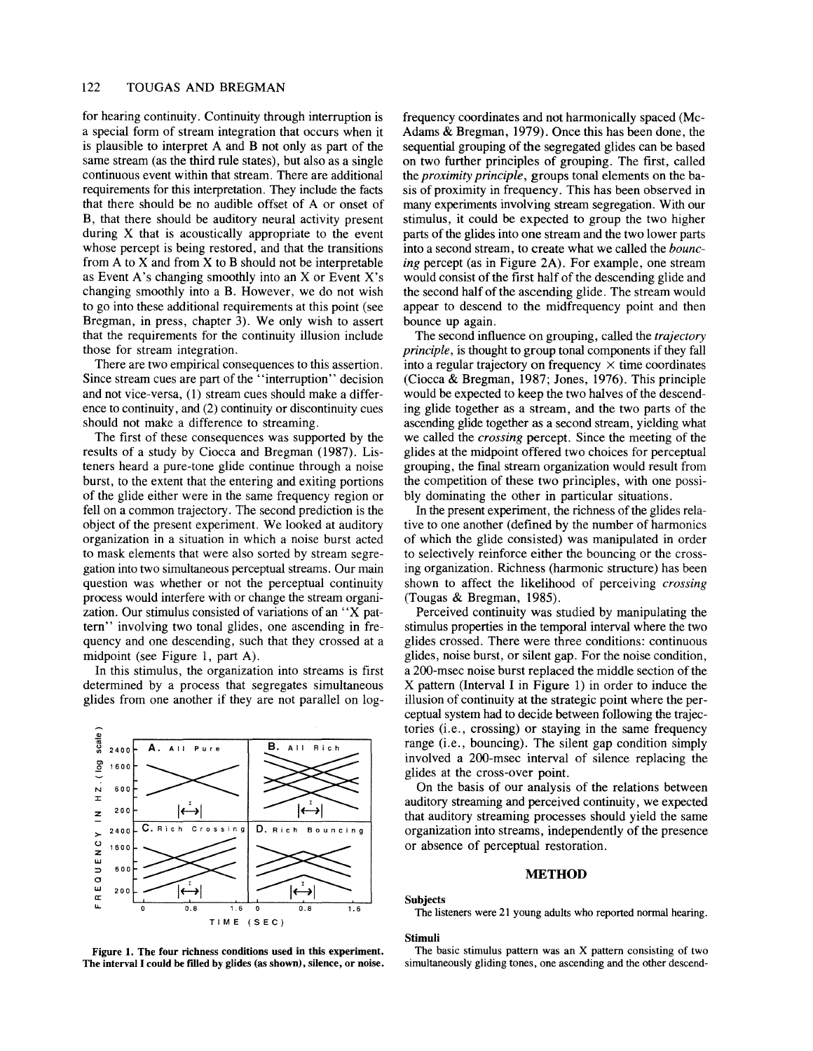# 122 TOUGAS AND BREGMAN

for hearing continuity. Continuity through interruption is a special form of stream integration that occurs when it is plausible to interpret A and B not only as part of the same stream (as the third rule states), but also as a single continuous event within that stream. There are additional requirements for this interpretation. They include the facts that there should be no audible offset of A or onset of B, that there should be auditory neural activity present during X that is acoustically appropriate to the event whose percept is being restored, and that the transitions from A to X and from X to B should not be interpretable as Event A's changing smoothly into an X or Event X's changing smoothly into a B. However, we do not wish to go into these additional requirements at this point (see Bregman, in press, chapter 3). We only wish to assert that the requirements for the continuity illusion include those for stream integration.

There are two empirical consequences to this assertion. Since stream cues are part of the "interruption" decision and not vice-versa, (1) stream cues should make a difference to continuity, and (2) continuity or discontinuity cues should not make a difference to streaming.

The first of these consequences was supported by the results of a study by Ciocca and Bregman (1987). Listeners heard a pure-tone glide continue through a noise burst, to the extent that the entering and exiting portions of the glide either were in the same frequency region or fell on a common trajectory. The second prediction is the object of the present experiment. We looked at auditory organization in a situation in which a noise burst acted to mask elements that were also sorted by stream segregation into two simultaneous perceptual streams. Ourmain question was whether or not the perceptual continuity process would interfere with or change the stream organization. Our stimulus consisted of variations of an "X pattern" involving two tonal glides, one ascending in frequency and one descending, such that they crossed at a midpoint (see Figure 1, part A).

In this stimulus, the organization into streams is first determined by a process that segregates simultaneous glides from one another if they are not parallel on log-



**Figure 1. The four riclmess conditions used in this experiment. The interval I could be filled by glides (asshown), silence, or noise.**

frequency coordinates and not harmonically spaced (Mc-Adams & Bregman, 1979). Once this has been done, the sequential grouping of the segregated glides can be based on two further principles of grouping. The first, called the *proximity principle,* groups tonal elements on the basis of proximity in frequency. This has been observed in many experiments involving stream segregation. With our stimulus, it could be expected to group the two higher parts of the glides into one streamand the two lower parts into a second stream, to createwhat we called the *bouncing* percept (as in Figure 2A). For example, one stream would consist of the first half of the descending glide and the second half of the ascending glide. The stream would appear to descend to the midfrequency point and then bounce up again.

The second influence on grouping, called the *trajectory principle*, is thought to group tonal components if they fall into a regular trajectory on frequency  $\times$  time coordinates (Ciocca & Bregman, 1987; Jones, 1976). This principle would be expected to keep the two halves of the descending glide together as a stream, and the two parts of the ascending glide together as a second stream, yieldingwhat we called the *crossing* percept. Since the meeting of the glides at the midpoint offered two choices for perceptual grouping, the final stream organization would result from the competition of these two principles, with one possibly dominating the other in particular situations.

**In** the present experiment, the richness of the glides relative to one another (defined by the number of harmonics of which the glide consisted) was manipulated in order to selectively reinforce either the bouncing or the crossing organization. Richness (harmonic structure) has been shown to affect the likelihood of perceiving *crossing* (Tougas & Bregman, 1985).

Perceived continuity was studied by manipulating the stimulus properties in the temporal interval where the two glides crossed. There were three conditions: continuous glides, noise burst, or silent gap. For the noise condition, a 200-msec noise burst replaced the middle section of the X pattern (Interval I in Figure 1) in order to induce the illusion of continuity at the strategic point where the perceptual systemhad to decide between following the trajectories (i.e., crossing) or staying in the same frequency range (i.e., bouncing). The silent gap condition simply involved a 200-msec interval of silence replacing the glides at the cross-over point.

On the basis of our analysis of the relations between auditory streaming and perceived continuity, we expected that auditory streaming processes should yield the same organization into streams, independently of the presence or absence of perceptual restoration.

# **METHOD**

#### Subjects

The listeners were 21 **young adults who** reported **normal hearing.**

### **Stimuli**

**The basic stimulus pattern was an X pattern consisting of two simultaneously gliding tones, one ascending and the other descend-**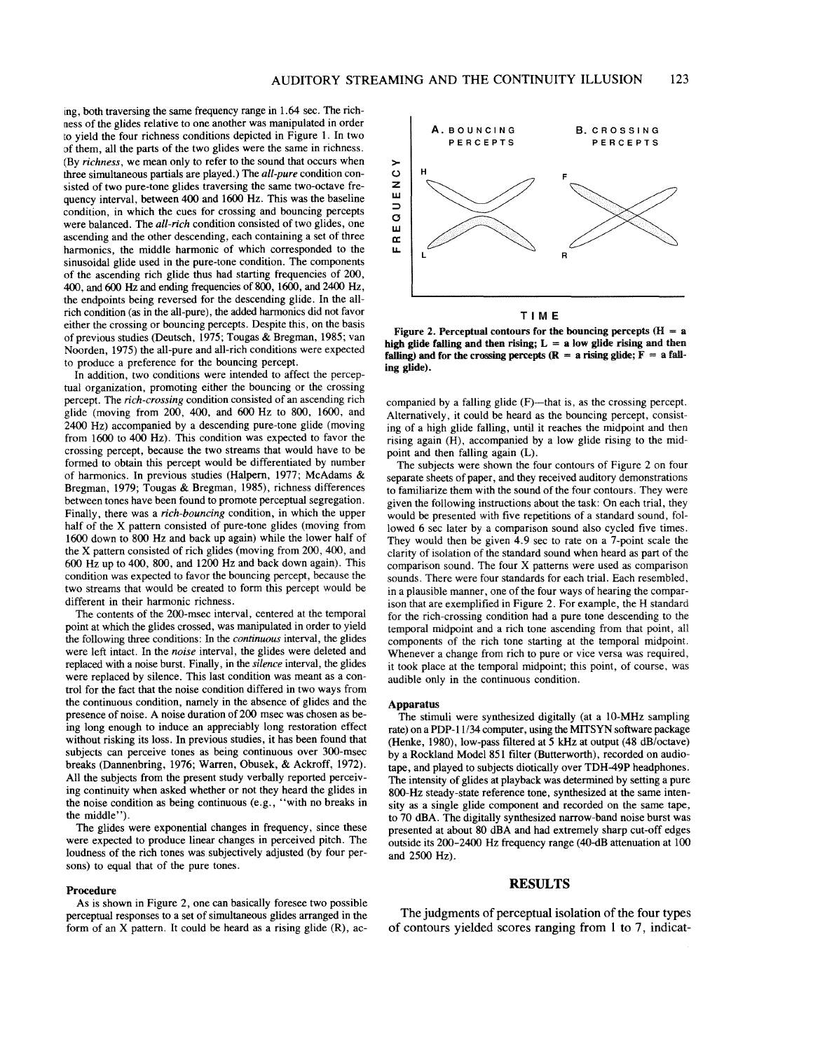ng, both traversing the same **frequency range in** 1.64 sec. **The richtess ofthe glides relative to one another was manipulated in order to yield the four richness conditions depicted in Figure 1. In two** Df **them,** all **the parts of the two glides were the same in richness. (By** *richness,* **we mean only to refer to the sound that occurs when three simultaneous partials** are **played.) The** *all-pure* **condition con**sisted of two pure-tone glides traversing the same two-octave fre**quency interval, between400 and** 1600 **Hz. This was the baseline condition, in which the cues for crossing and bouncing percepts were balanced. The** *all-rich* **condition consisted of two glides, one ascending and the other descending, each containing <sup>a</sup> set of three harmonics, the middle harmonic of which corresponded to the** sinusoidal glide **used in the pure-tone condition. The components of the ascending rich glide thus had** starting **frequencies of** 200, **400,** and **600 Hz** and **ending frequencies of 800, 1600,** and 2400 Hz, **the endpoints being reversed for the descending glide. In the allrich condition (as in the all-pure), the added harmonics did not favor either the crossing or bouncing percepts. Despite this, on the basis of previous studies (Deutsch, 1975; Tougas & Bregman, 1985; van Noorden,** *1975)* **the all-pure and all-rich conditions were expected** to produce **a preference for the bouncing percept.**

**In addition, two conditions were intended to affect the perceptual organization, promoting either the bouncing or the crossing percept. The** *rich-crossing* **condition consisted of an ascending rich glide (moving from** 200, **400, and 600 Hz to** 800, **1600, and** 2400 **Hz) accompanied by a descending pure-tone glide (moving from** 164)0 **to 400 Hz). This condition was expected to favor the crossing percept, because the two streams that would have to be** formed **to obtain this percept would be differentiated by number of harmonics. In previous studies** (Halpern, **1977; McAdams & Bregman, 1979; Tougas & Bregman, 1985), richness differences between** tones have been found to promote perceptual segregation. **Finally, there was a** *rich-bouncing* **condition, in which the upper half of the X pattern consisted of pure-tone glides (moving from** 1600 **down to** 800 **Hz and back up again) while the lower half of the X pattern consisted of rich glides (moving from** 200, 400, **and 600 Hz up to** 400, 800, **and** 1200 **Hz and back down again). This condition was expected to favor the bouncing percept, because the two streams that would be created to form this percept would be different in their harmonic richness.**

**The contents of the 200-msec interval, centered at the temporal point at which the glides crossed, was manipulated in order to yield the following three conditions: In the** *continuous* **interval, the glides were left intact. In the** *noise* **interval, the** glides **were deleted and replaced with a noise burst.** Finally, **inthe** *silence* **interval, the glides were replaced by silence. This last condition was meant as <sup>a</sup> control for the fact that the noise condition differed in two ways from the continuous condition, namely in the absence of glides and the presence of noise. A noise duration of** 200 **msecwas chosen as be**ing long enough **to induce an appreciably long restoration effect** without risking its loss. In **previous studies, it has** been **found** that subjects **can perceive tones as being continuous over 300-msec** breaks **(Dannenbring, 1976; Warren, Obusek, &** Ackroff, **1972). All the subjects from the present** study verbally reported perceiving **continuity when asked whether or not they heard the glides in the noise condition as being continuous (e.g., "with no** breaks **in the middle").**

**The glides were exponential changes in frequency, since these were expected to produce linear changes in perceived pitch. The** loudness of the rich tones was subjectively adjusted (by four per**sons) to equal that of the pure tones.**

#### **Procedure**

**As is shown in Figure 2,** one **can basically foresee two possible perceptual responses to <sup>a</sup> set ofsimultaneous glides** arranged **in the form of an X pattern. It could be heard as <sup>a</sup> rising glide (R), ac-**



**TIME**

**Figure** 2. Perceptual contours for the bouncing percepts (H = **<sup>a</sup> high glide** falling and then rising; **L <sup>a</sup> low glide** rising and **then** falling) and for the crossing percepts  $(R = a$  rising glide;  $\overline{F} = a$  falling glide).

companied by a falling glide (F)—that is, as the crossing percept. Alternatively, it could be heard as **the bouncing percept, consisting of <sup>a</sup> high glide falling, until** it reaches the midpoint and then **rising again (H), accompanied by <sup>a</sup> low glide rising to the midpoint and then falling again (L).**

**The subjects were shown the four contours of Figure <sup>2</sup> on four separate sheets of paper,** and **they received auditory demonstrations** to familiarize them with the sound of the four contours. They were given the **following instructions about the task: On each trial, they** would be presented with five repetitions of a standard sound, **followed 6** sec later by a comparison sound also cycled five times. **They would then be given 4.9** sec **to rate on <sup>a</sup> 7-point scale the clarity** of isolation of the standard sound when heard as part of the comparison sound. The four X patterns were used as comparison sounds. There were four standards for each trial. Each resembled, in a plausible manner, one of the four ways of hearing the comparison that are exemplified in Figure 2. For example, the H standard for the rich-crossing condition had a pure tone descending to the temporal midpoint and a rich tone ascending from that point, all components of the rich tone starting at the temporal midpoint. Whenever a change from rich to pure or vice versa was required, it took place at the temporal midpoint; this point, of course, was audible only in the continuous condition.

#### **Apparatus**

**The stimuli were synthesized digitally (at a 10-MHz** sampling rate) on **a PDP-1** 1/34 computer, using the MITSYN software package (Henke, **1980), low-pass** filtered at *5* kHz **at** output (48 dB/octave) **by <sup>a</sup>** Rockland Model **851 filter** (Butterworth), recorded on audiotape, and played to subjects diotically over TDH-49P headphones. **The intensity** of glides at playback was determined by setting **<sup>a</sup> pure** 800-Hz steady-state reference tone, synthesized at the same intensity as **<sup>a</sup> single** glide component and recorded **on the same tape, to 70 dBA. The** digitally synthesized narrow-band noise burst was **presented at about 80 dBA and had extremely** sharp cut-off edges outside **its** 200-2400 **Hz frequency range** (40-dB **attenuation at** 100 and 2500 Hz).

## RESULTS

The judgments of perceptual isolation of the four types of contours yielded scores ranging from <sup>1</sup> to 7, indicat-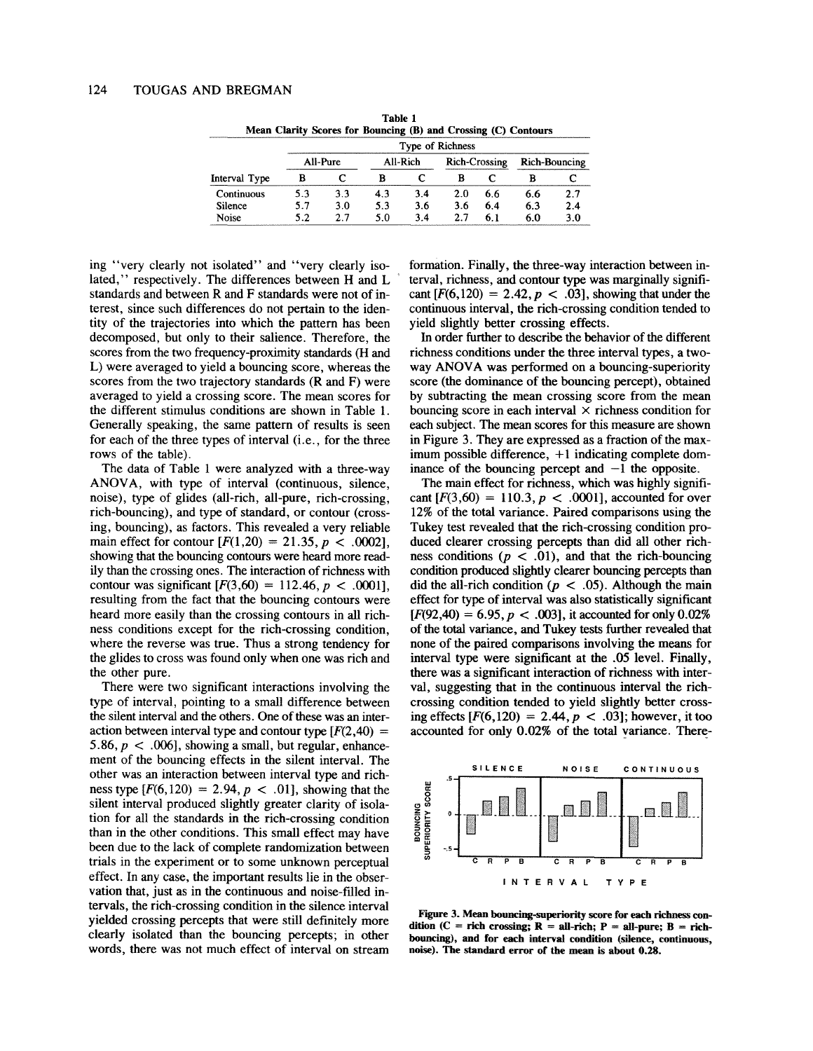| .<br>Mean Clarity Scores for Bouncing (B) and Crossing (C) Contours |                  |     |          |     |                      |     |                      |     |
|---------------------------------------------------------------------|------------------|-----|----------|-----|----------------------|-----|----------------------|-----|
| Interval Type                                                       | Type of Richness |     |          |     |                      |     |                      |     |
|                                                                     | All-Pure         |     | All-Rich |     | <b>Rich-Crossing</b> |     | <b>Rich-Bouncing</b> |     |
|                                                                     | в                |     | R        |     | в                    |     | R                    |     |
| Continuous                                                          | 5.3              | 3.3 | 4.3      | 3.4 | 2.0                  | 6.6 | 6.6                  | 2.7 |
| Silence                                                             | 5.7              | 3.0 | 5.3      | 3.6 | 3.6                  | 64  | 6.3                  | 2.4 |
| Noise                                                               | 5.2              | 2.7 | 5.0      | 3.4 | 2.7                  | 6.1 | 6.0                  | 3.0 |

**Table 1**

ing "very clearly not isolated" and "very clearly isolated," respectively. The differences between H and L standards and between R and F standards were not of interest, since such differences do not pertain to the identity of the trajectories into which the pattern has been decomposed, but only to their salience. Therefore, the scores from the two frequency-proximity standards (H and L) were averaged to yield a bouncing score, whereas the scores from the two trajectory standards  $(R \text{ and } F)$  were averaged to yield a crossing score. The mean scores for the different stimulus conditions are shown in Table 1. Generally speaking, the same pattern of results is seen for each of the three types of interval (i.e., for the three rows of the table).

The data of Table <sup>1</sup> were analyzed with a three-way ANOVA, with type of interval (continuous, silence, noise), type of glides (all-rich, all-pure, rich-crossing, rich-bouncing), and type of standard, or contour (crossing, bouncing), as factors. This revealed a very reliable main effect for contour  $[F(1,20) = 21.35, p < .0002]$ , showing that the bouncing contours were heard more readily than the crossing ones. The interaction of richness with contour was significant  $[F(3,60) = 112.46, p < .0001]$ , resulting from the fact that the bouncing contours were heard more easily than the crossing contours in all richness conditions except for the rich-crossing condition, where the reverse was true. Thus a strong tendency for the glides to cross was found only when one was rich and the other pure.

There were two significant interactions involving the type of interval, pointing to a small difference between the silent interval and the others. One of these was an interaction between interval type and contour type  $[F(2,40) =$ 5.86,  $p < .006$ , showing a small, but regular, enhancement of the bouncing effects in the silent interval. The other was an interaction between interval type and richness type  $[F(6, 120) = 2.94, p < .01]$ , showing that the silent interval produced slightly greater clarity of isolation for all the standards in the rich-crossing condition than in the other conditions. This small effect may have been due to the lack of complete randomization between trials in the experiment or to some unknown perceptual effect. In any case, the important results lie in the observation that, just as in the continuous and noise-filled intervals, the rich-crossing condition in the silence interval yielded crossing percepts that were still definitely more clearly isolated than the bouncing percepts; in other words, there was not much effect of interval on stream

formation. Finally, the three-way interaction between interval, richness, and contour type was marginally significant  $[F(6,120) = 2.42, p < .03]$ , showing that under the continuous interval, the rich-crossing condition tended to yield slightly better crossing effects.

In order further to describe the behavior of the different richness conditions under the three interval types, a twoway ANOVA was performed on a bouncing-superiority score (the dominance of the bouncing percept), obtained by subtracting the mean crossing score from the mean bouncing score in each interval  $\times$  richness condition for each subject. The mean **scores for** this measure are shown in Figure 3. They are expressed as a fraction of the maximum possible difference,  $+1$  indicating complete dominance of the bouncing percept and  $-1$  the opposite.

The main effect for richness, which was highly significant  $[F(3,60) = 110.3, p < .0001]$ , accounted for over 12% of the total variance. Paired comparisons using the Tukey test revealed that the rich-crossing condition produced clearer crossing percepts than did all other richness conditions  $(p < .01)$ , and that the rich-bouncing condition produced slightly clearer bouncing percepts than did the all-rich condition  $(p < .05)$ . Although the main effect for type of interval was also statistically significant  $[F(92,40) = 6.95, p < .003]$ , it accounted for only 0.02% of the total variance, and Tukey tests further revealed that none of the paired comparisons involving the means for interval type were significant at the *.05* level. Finally, there was a significant interaction of richness with interval, suggesting that in the continuous interval the richcrossing condition tended to yield slightly better crossing effects *[F(6,* 120) = 2.44, p *<* .03]; however, it too accounted for only 0.02% of the total variance. There-



**Figure 3.** Mean bouncing-superiority score **for each richness con**dition  $(C =$  **rich** crossing;  $R =$  all-rich;  $P =$  all-pure;  $B =$  rich**bouncing),** and **for each** interval condition **(silence, continuous, noise**). The standard error of the mean is about 0.28.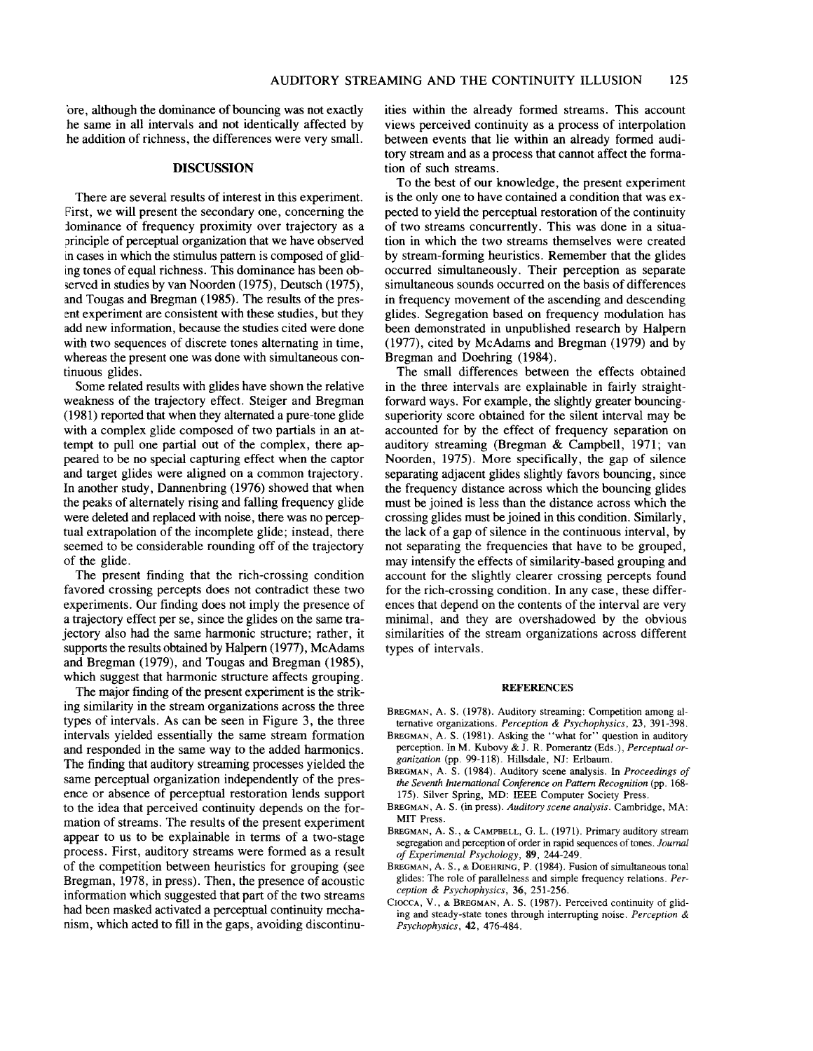bre, although the dominance of bouncing was not exactly he same in all intervals and not identically affected by he addition of richness, the differences were very small.

# DISCUSSION

There are several results of interest in this experiment. First, we will present the secondary one, concerning the Jominance of frequency proximity over trajectory as a principle of perceptual organization that we have observed in cases in which the stimulus pattern is composed of gliding tones of equal richness. This dominance has been observed instudies by van Noorden (1975), Deutsch *(1975),* and Tougas and Bregman (1985). The results of the present experiment are consistent with these studies, but they add new information, because the studies cited were done with two sequences of discrete tones alternating in time, whereas the present one was done with simultaneous continuous glides.

Some related results with glides have shown the relative weakness of the trajectory effect. Steiger and Bregman (1981) reported that when they alternated a pure-tone glide with a complex glide composed of two partials in an attempt to pull one partial out of the complex, there appeared to be no special capturing effect when the captor and target glides were aligned on a common trajectory. In another study, Dannenbring (1976) showed that when the peaks of alternately rising and falling frequency glide were deleted and replaced with noise, there was no perceptual extrapolation of the incomplete glide; instead, there seemed to be considerable rounding off of the trajectory of the glide.

The present finding that the rich-crossing condition favored crossing percepts does not contradict these two experiments. Our finding does not imply the presence of a trajectory effect per se, since the glides on the same trajectory also had the same harmonic structure; rather, it supports the results obtained by Halpern (1977), McAdams and Bregman (1979), and Tougas and Bregman (1985), which suggest that harmonic structure affects grouping.

The major finding of the present experiment is the striking similarity in the stream organizations across the three types of intervals. As can be seen in Figure 3, the three intervals yielded essentially the same stream formation and responded in the same way to the added harmonics. The finding that auditory streaming processes yielded the same perceptual organization independently of the presence or absence of perceptual restoration lends support to the idea that perceived continuity depends on the formation of streams. The results of the present experiment appear to us to be explainable in terms of a two-stage process. First, auditory streams were formed as a result of the competition between heuristics for grouping (see Bregman, 1978, in press). Then, the presence of acoustic information which suggested that part of the two streams had been masked activated a perceptual continuity mechanism, which acted to fill in the gaps, avoiding discontinuities within the already formed streams. This account views perceived continuity as a process of interpolation between events that lie within an already formed auditory stream and as a process that cannot affect the formation of such streams.

To the best of our knowledge, the present experiment is the only one to have contained a condition that was expected to yield the perceptual restoration of the continuity of two streams concurrently. This was done in a situation in which the two streams themselves were created by stream-forming heuristics. Remember that the glides occurred simultaneously. Their perception as separate simultaneous sounds occurred on the basis of differences in frequency movement of the ascending and descending glides. Segregation based on frequency modulation has been demonstrated in unpublished research by Halpern (1977), cited by McAdams and Bregman (1979) and by Bregman and Doehring (1984).

The small differences between the effects obtained in the three intervals are explainable in fairly straightforward ways. For example, the slightly greater bouncingsuperiority score obtained for the silent interval may be accounted for by the effect of frequency separation on auditory streaming (Bregman & Campbell, 1971; van Noorden, 1975). More specifically, the gap of silence separating adjacent glides slightly favors bouncing, since the frequency distance across which the bouncing glides must be joined is less than the distance across which the crossing glides must be joined in this condition. Similarly, the lack of a gap of silence in the continuous interval, by not separating the frequencies that have to be grouped, may intensify the effects of similarity-based grouping and account for the slightly clearer crossing percepts found for the rich-crossing condition. In any case, these differences that depend on the contents of the interval are very minimal, and they are overshadowed by the obvious similarities of the stream organizations across different types of intervals.

## **REFERENCES**

- BREGMAN, A. S. (1978). Auditory streaming: Competition among altentative organizations. *Perception & Psychophysics,* 23, 391-398.
- **BREGMAN,** A. **5.** (1981). Asking the "what for" question in auditory perception. InM. Kubovy & J. R. Pomerantz (Eds.), *Perceptual organization* (pp. 99-118). Hillsdale, NJ: Erlbaum.
- **BREGMAN,** A. S. (1984). Auditory scene analysis. In *Proceedings of the Seventh International Conference on PatternRecognition* (pp. 168- 175). Silver Spring, MD: IEEE Computer Society Press.
- BREGMAN, A. S. (in press). *Auditory scene analysis.* Cambridge, MA: MIT Press.
- **BREGMAN, A. S.,** *&* CAMPBELL, *G.* L. (1971). Primary auditory stream segregation and perception of order in rapid sequences of tones. *Journal of Experimental Psychology,* **89,** 244-249.
- BREGMAN, A. S., & DOEHRING, P. (1984). Fusion of simultaneous tonal glides: The role of parallelness and simple frequency relations. *Perception & Psychophysics,* 36, 251-256.
- **CIOCCA,** V., *&* BREGMAN, A. S. (1987). Perceived continuity of gliding and steady-state tones through interrupting noise. *Perception & Psychophysics,* 42, 476-484.